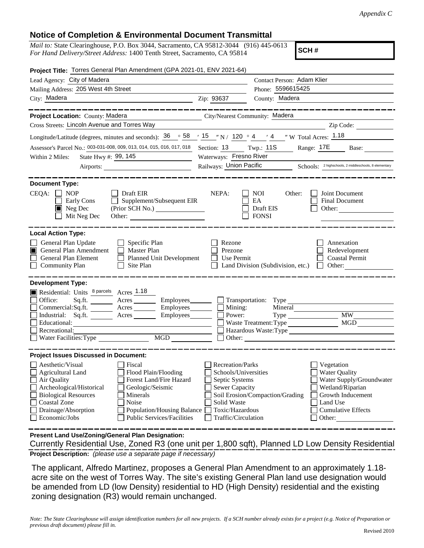## **Notice of Completion & Environmental Document Transmittal**

*Mail to:* State Clearinghouse, P.O. Box 3044, Sacramento, CA 95812-3044 (916) 445-0613 *For Hand Delivery/Street Address:* 1400 Tenth Street, Sacramento, CA 95814

**SCH #**

| Project Title: Torres General Plan Amendment (GPA 2021-01, ENV 2021-64)                                                                                                                                                                                                                                                                                               |                                                                                                                                                     |                                                         |                                                                                                                                                            |
|-----------------------------------------------------------------------------------------------------------------------------------------------------------------------------------------------------------------------------------------------------------------------------------------------------------------------------------------------------------------------|-----------------------------------------------------------------------------------------------------------------------------------------------------|---------------------------------------------------------|------------------------------------------------------------------------------------------------------------------------------------------------------------|
| Lead Agency: City of Madera                                                                                                                                                                                                                                                                                                                                           |                                                                                                                                                     | Contact Person: Adam Klier                              |                                                                                                                                                            |
| Mailing Address: 205 West 4th Street                                                                                                                                                                                                                                                                                                                                  | Phone: 5596615425                                                                                                                                   |                                                         |                                                                                                                                                            |
| City: Madera<br><u> 1989 - Johann Stoff, deutscher Stoffen und der Stoffen und der Stoffen und der Stoffen und der Stoffen und der</u>                                                                                                                                                                                                                                | Zip: 93637                                                                                                                                          | County: Madera                                          |                                                                                                                                                            |
| Project Location: County: Madera                                                                                                                                                                                                                                                                                                                                      | City/Nearest Community: Madera                                                                                                                      |                                                         |                                                                                                                                                            |
| Cross Streets: Lincoln Avenue and Torres Way                                                                                                                                                                                                                                                                                                                          |                                                                                                                                                     |                                                         | Zip Code:                                                                                                                                                  |
| Longitude/Latitude (degrees, minutes and seconds): $\frac{36}{58}$ $\frac{58}{15}$ $\frac{7}{15}$ $\frac{7}{120}$ $\frac{4}{120}$ $\frac{4}{14}$ $\frac{7}{120}$ $\frac{7}{120}$ Total Acres: $\frac{1.18}{1.18}$                                                                                                                                                     |                                                                                                                                                     |                                                         |                                                                                                                                                            |
| Assessor's Parcel No.: 003-031-008, 009, 013, 014, 015, 016, 017, 018 Section: 13 Twp.: 11S                                                                                                                                                                                                                                                                           |                                                                                                                                                     |                                                         | Range: 17E<br>Base:                                                                                                                                        |
| State Hwy #: 99, 145<br>Within 2 Miles:<br><u> 1990 - Johann Barbara, martin a</u>                                                                                                                                                                                                                                                                                    | Waterways: Fresno River                                                                                                                             |                                                         |                                                                                                                                                            |
| Airports:                                                                                                                                                                                                                                                                                                                                                             |                                                                                                                                                     |                                                         | Railways: Union Pacific Schools: <sup>2 highschools, 2 middleschools, 8 elementary</sup>                                                                   |
| <b>Document Type:</b><br>CEQA:<br>$\Box$ NOP<br>$\Box$ Draft EIR<br>Supplement/Subsequent EIR<br>Early Cons<br>$\blacksquare$ Neg Dec<br>Mit Neg Dec<br>Other:                                                                                                                                                                                                        | NEPA:                                                                                                                                               | <b>NOI</b><br>Other:<br>EA<br>Draft EIS<br><b>FONSI</b> | Joint Document<br><b>Final Document</b><br>Other:                                                                                                          |
| <b>Local Action Type:</b><br>General Plan Update<br>$\Box$ Specific Plan<br>General Plan Amendment<br>Master Plan<br>П<br>General Plan Element<br><b>Planned Unit Development</b><br>Community Plan<br>Site Plan                                                                                                                                                      | Rezone<br>Prezone<br>Use Permit                                                                                                                     | Land Division (Subdivision, etc.)                       | Annexation<br>Redevelopment<br><b>Coastal Permit</b><br>Other:                                                                                             |
| <b>Development Type:</b>                                                                                                                                                                                                                                                                                                                                              |                                                                                                                                                     |                                                         |                                                                                                                                                            |
| Residential: Units <sup>8 parcels</sup> Acres 1.18<br>Office:<br>Sq.ft.<br>Acres<br>Commercial:Sq.ft. ________ Acres _______<br>Industrial: Sq.ft. _______ Acres ______<br>Employees________<br>Educational:<br>Recreational:<br>MGD<br>Water Facilities: Type                                                                                                        | Employees Transportation: Type<br>$Employees$ $\Box$ Mining:<br>Power:                                                                              | Waste Treatment: Type<br>Other:                         | <b>MW</b><br><b>MGD</b><br>Hazardous Waste:Type                                                                                                            |
| <b>Project Issues Discussed in Document:</b>                                                                                                                                                                                                                                                                                                                          |                                                                                                                                                     |                                                         |                                                                                                                                                            |
| Aesthetic/Visual<br>Fiscal<br>$\Box$ Agricultural Land<br>Flood Plain/Flooding<br>Forest Land/Fire Hazard<br>Air Quality<br>Archeological/Historical<br>Geologic/Seismic<br><b>Biological Resources</b><br>Minerals<br><b>Coastal Zone</b><br>Noise<br>Drainage/Absorption<br><b>Population/Housing Balance</b><br>Economic/Jobs<br><b>Public Services/Facilities</b> | <b>Recreation/Parks</b><br>Schools/Universities<br>Septic Systems<br><b>Sewer Capacity</b><br>Solid Waste<br>Toxic/Hazardous<br>Traffic/Circulation | Soil Erosion/Compaction/Grading                         | Vegetation<br><b>Water Quality</b><br>Water Supply/Groundwater<br>Wetland/Riparian<br>Growth Inducement<br>Land Use<br><b>Cumulative Effects</b><br>Other: |
| Present Land Use/Zoning/General Plan Designation:                                                                                                                                                                                                                                                                                                                     |                                                                                                                                                     |                                                         |                                                                                                                                                            |

**Project Description:** *(please use a separate page if necessary)* Currently Residential Use, Zoned R3 (one unit per 1,800 sqft), Planned LD Low Density Residential

 The applicant, Alfredo Martinez, proposes a General Plan Amendment to an approximately 1.18 acre site on the west of Torres Way. The site's existing General Plan land use designation would be amended from LD (low Density) residential to HD (High Density) residential and the existing zoning designation (R3) would remain unchanged.

*Note: The State Clearinghouse will assign identification numbers for all new projects. If a SCH number already exists for a project (e.g. Notice of Preparation or previous draft document) please fill in.*